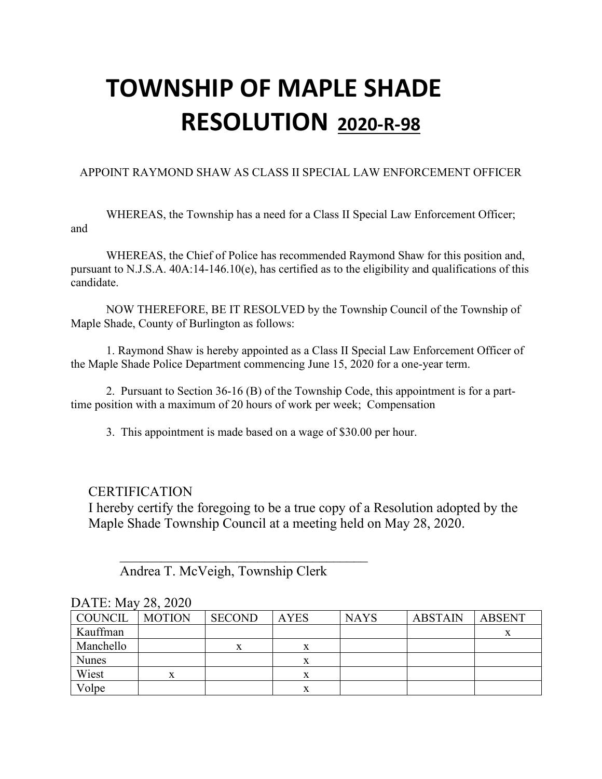### APPOINT RAYMOND SHAW AS CLASS II SPECIAL LAW ENFORCEMENT OFFICER

WHEREAS, the Township has a need for a Class II Special Law Enforcement Officer; and

WHEREAS, the Chief of Police has recommended Raymond Shaw for this position and, pursuant to N.J.S.A. 40A:14-146.10(e), has certified as to the eligibility and qualifications of this candidate.

NOW THEREFORE, BE IT RESOLVED by the Township Council of the Township of Maple Shade, County of Burlington as follows:

1. Raymond Shaw is hereby appointed as a Class II Special Law Enforcement Officer of the Maple Shade Police Department commencing June 15, 2020 for a one-year term.

2. Pursuant to Section 36-16 (B) of the Township Code, this appointment is for a parttime position with a maximum of 20 hours of work per week; Compensation

3. This appointment is made based on a wage of \$30.00 per hour.

### **CERTIFICATION**

I hereby certify the foregoing to be a true copy of a Resolution adopted by the Maple Shade Township Council at a meeting held on May 28, 2020.

Andrea T. McVeigh, Township Clerk

 $\overline{\phantom{a}}$ 

| COUNCIL      | <b>MOTION</b> | <b>SECOND</b> | <b>AYES</b> | <b>NAYS</b> | <b>ABSTAIN</b> | <b>ABSENT</b> |
|--------------|---------------|---------------|-------------|-------------|----------------|---------------|
| Kauffman     |               |               |             |             |                |               |
| Manchello    |               | v             |             |             |                |               |
| <b>Nunes</b> |               |               |             |             |                |               |
| Wiest        |               |               |             |             |                |               |
| Volpe        |               |               |             |             |                |               |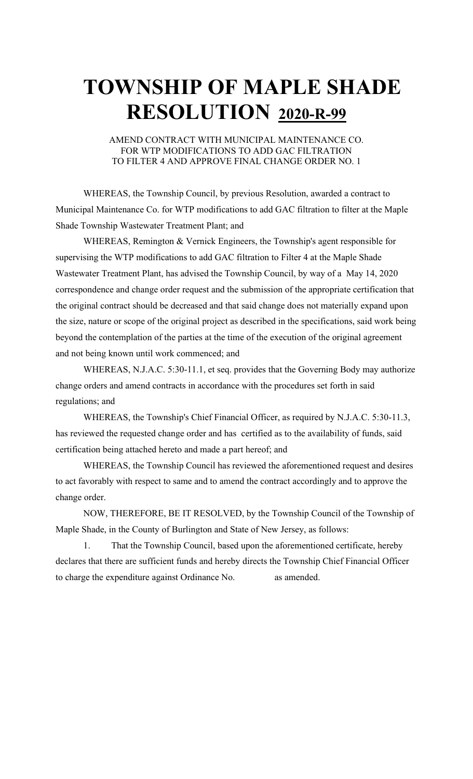AMEND CONTRACT WITH MUNICIPAL MAINTENANCE CO. FOR WTP MODIFICATIONS TO ADD GAC FILTRATION TO FILTER 4 AND APPROVE FINAL CHANGE ORDER NO. 1

WHEREAS, the Township Council, by previous Resolution, awarded a contract to Municipal Maintenance Co. for WTP modifications to add GAC filtration to filter at the Maple Shade Township Wastewater Treatment Plant; and

WHEREAS, Remington & Vernick Engineers, the Township's agent responsible for supervising the WTP modifications to add GAC filtration to Filter 4 at the Maple Shade Wastewater Treatment Plant, has advised the Township Council, by way of a May 14, 2020 correspondence and change order request and the submission of the appropriate certification that the original contract should be decreased and that said change does not materially expand upon the size, nature or scope of the original project as described in the specifications, said work being beyond the contemplation of the parties at the time of the execution of the original agreement and not being known until work commenced; and

WHEREAS, N.J.A.C. 5:30-11.1, et seq. provides that the Governing Body may authorize change orders and amend contracts in accordance with the procedures set forth in said regulations; and

WHEREAS, the Township's Chief Financial Officer, as required by N.J.A.C. 5:30-11.3, has reviewed the requested change order and has certified as to the availability of funds, said certification being attached hereto and made a part hereof; and

WHEREAS, the Township Council has reviewed the aforementioned request and desires to act favorably with respect to same and to amend the contract accordingly and to approve the change order.

NOW, THEREFORE, BE IT RESOLVED, by the Township Council of the Township of Maple Shade, in the County of Burlington and State of New Jersey, as follows:

1. That the Township Council, based upon the aforementioned certificate, hereby declares that there are sufficient funds and hereby directs the Township Chief Financial Officer to charge the expenditure against Ordinance No. as amended.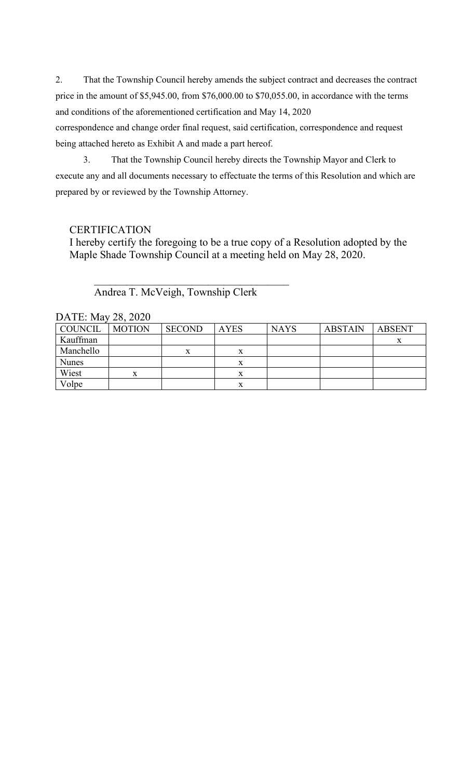2. That the Township Council hereby amends the subject contract and decreases the contract price in the amount of \$5,945.00, from \$76,000.00 to \$70,055.00, in accordance with the terms and conditions of the aforementioned certification and May 14, 2020

correspondence and change order final request, said certification, correspondence and request being attached hereto as Exhibit A and made a part hereof.

3. That the Township Council hereby directs the Township Mayor and Clerk to execute any and all documents necessary to effectuate the terms of this Resolution and which are prepared by or reviewed by the Township Attorney.

### **CERTIFICATION**

I hereby certify the foregoing to be a true copy of a Resolution adopted by the Maple Shade Township Council at a meeting held on May 28, 2020.

Andrea T. McVeigh, Township Clerk

 $\overline{\phantom{a}}$ 

| DATE: May 28, 2020 |               |               |             |             |                |               |
|--------------------|---------------|---------------|-------------|-------------|----------------|---------------|
| <b>COUNCIL</b>     | <b>MOTION</b> | <b>SECOND</b> | <b>AYES</b> | <b>NAYS</b> | <b>ABSTAIN</b> | <b>ABSENT</b> |
| Kauffman           |               |               |             |             |                |               |
| Manchello          |               | x             |             |             |                |               |
| <b>Nunes</b>       |               |               |             |             |                |               |
| Wiest              | X.            |               |             |             |                |               |
| Volpe              |               |               |             |             |                |               |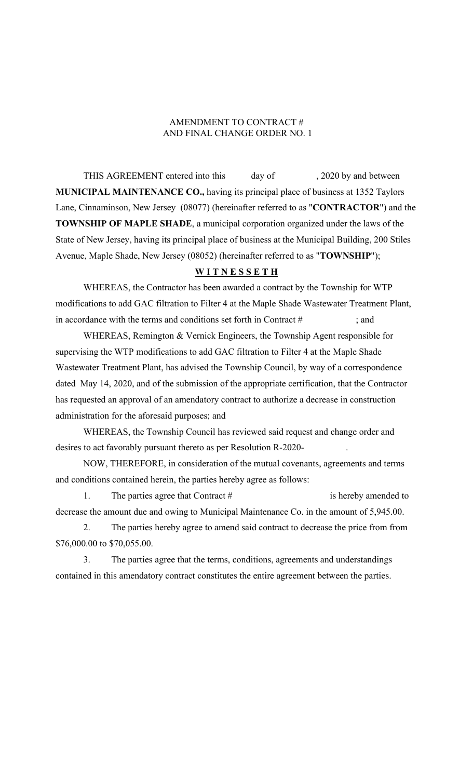#### AMENDMENT TO CONTRACT # AND FINAL CHANGE ORDER NO. 1

THIS AGREEMENT entered into this day of , 2020 by and between **MUNICIPAL MAINTENANCE CO.,** having its principal place of business at 1352 Taylors Lane, Cinnaminson, New Jersey (08077) (hereinafter referred to as "**CONTRACTOR**") and the **TOWNSHIP OF MAPLE SHADE**, a municipal corporation organized under the laws of the State of New Jersey, having its principal place of business at the Municipal Building, 200 Stiles Avenue, Maple Shade, New Jersey (08052) (hereinafter referred to as "**TOWNSHIP**");

#### **W I T N E S S E T H**

WHEREAS, the Contractor has been awarded a contract by the Township for WTP modifications to add GAC filtration to Filter 4 at the Maple Shade Wastewater Treatment Plant, in accordance with the terms and conditions set forth in Contract  $\#$  ; and

WHEREAS, Remington & Vernick Engineers, the Township Agent responsible for supervising the WTP modifications to add GAC filtration to Filter 4 at the Maple Shade Wastewater Treatment Plant, has advised the Township Council, by way of a correspondence dated May 14, 2020, and of the submission of the appropriate certification, that the Contractor has requested an approval of an amendatory contract to authorize a decrease in construction administration for the aforesaid purposes; and

WHEREAS, the Township Council has reviewed said request and change order and desires to act favorably pursuant thereto as per Resolution R-2020- .

NOW, THEREFORE, in consideration of the mutual covenants, agreements and terms and conditions contained herein, the parties hereby agree as follows:

1. The parties agree that Contract # is hereby amended to decrease the amount due and owing to Municipal Maintenance Co. in the amount of 5,945.00.

2. The parties hereby agree to amend said contract to decrease the price from from \$76,000.00 to \$70,055.00.

3. The parties agree that the terms, conditions, agreements and understandings contained in this amendatory contract constitutes the entire agreement between the parties.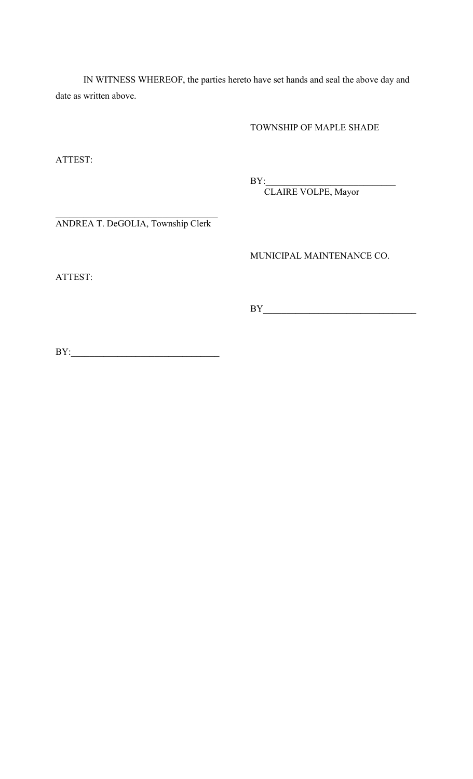IN WITNESS WHEREOF, the parties hereto have set hands and seal the above day and date as written above.

TOWNSHIP OF MAPLE SHADE

ATTEST:

BY:\_\_\_\_\_\_\_\_\_\_\_\_\_\_\_\_\_\_\_\_\_\_\_\_\_\_\_\_

CLAIRE VOLPE, Mayor

ANDREA T. DeGOLIA, Township Clerk

MUNICIPAL MAINTENANCE CO.

ATTEST:

BY\_\_\_\_\_\_\_\_\_\_\_\_\_\_\_\_\_\_\_\_\_\_\_\_\_\_\_\_\_\_\_\_\_

BY:\_\_\_\_\_\_\_\_\_\_\_\_\_\_\_\_\_\_\_\_\_\_\_\_\_\_\_\_\_\_\_\_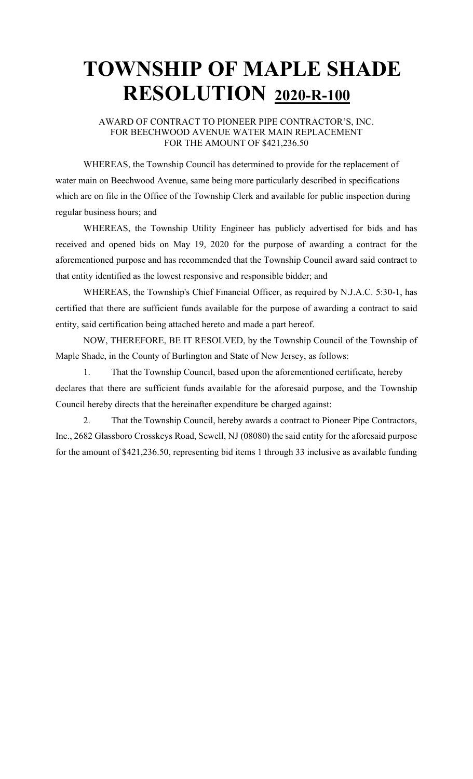#### AWARD OF CONTRACT TO PIONEER PIPE CONTRACTOR'S, INC. FOR BEECHWOOD AVENUE WATER MAIN REPLACEMENT FOR THE AMOUNT OF \$421,236.50

WHEREAS, the Township Council has determined to provide for the replacement of water main on Beechwood Avenue, same being more particularly described in specifications which are on file in the Office of the Township Clerk and available for public inspection during regular business hours; and

WHEREAS, the Township Utility Engineer has publicly advertised for bids and has received and opened bids on May 19, 2020 for the purpose of awarding a contract for the aforementioned purpose and has recommended that the Township Council award said contract to that entity identified as the lowest responsive and responsible bidder; and

WHEREAS, the Township's Chief Financial Officer, as required by N.J.A.C. 5:30-1, has certified that there are sufficient funds available for the purpose of awarding a contract to said entity, said certification being attached hereto and made a part hereof.

NOW, THEREFORE, BE IT RESOLVED, by the Township Council of the Township of Maple Shade, in the County of Burlington and State of New Jersey, as follows:

1. That the Township Council, based upon the aforementioned certificate, hereby declares that there are sufficient funds available for the aforesaid purpose, and the Township Council hereby directs that the hereinafter expenditure be charged against:

2. That the Township Council, hereby awards a contract to Pioneer Pipe Contractors, Inc., 2682 Glassboro Crosskeys Road, Sewell, NJ (08080) the said entity for the aforesaid purpose for the amount of \$421,236.50, representing bid items 1 through 33 inclusive as available funding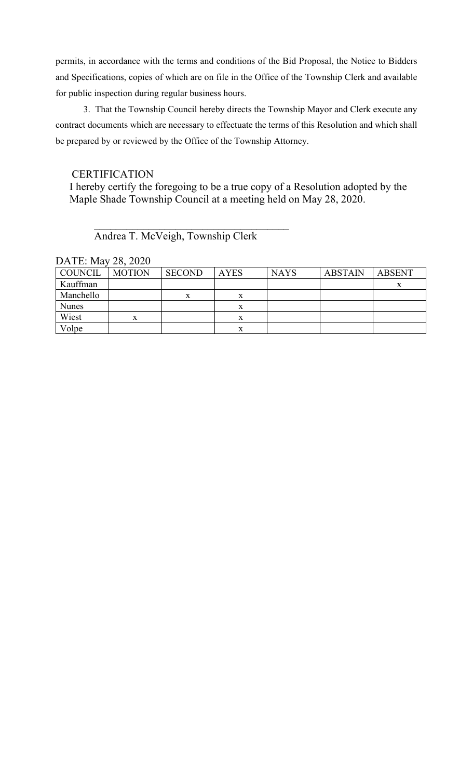permits, in accordance with the terms and conditions of the Bid Proposal, the Notice to Bidders and Specifications, copies of which are on file in the Office of the Township Clerk and available for public inspection during regular business hours.

3. That the Township Council hereby directs the Township Mayor and Clerk execute any contract documents which are necessary to effectuate the terms of this Resolution and which shall be prepared by or reviewed by the Office of the Township Attorney.

## **CERTIFICATION**

I hereby certify the foregoing to be a true copy of a Resolution adopted by the Maple Shade Township Council at a meeting held on May 28, 2020.

## Andrea T. McVeigh, Township Clerk

 $\overline{\phantom{a}}$ 

| <b>COUNCIL</b> | <b>MOTION</b> | <b>SECOND</b> | <b>AYES</b> | <b>NAYS</b> | <b>ABSTAIN</b> | <b>ABSENT</b> |
|----------------|---------------|---------------|-------------|-------------|----------------|---------------|
| Kauffman       |               |               |             |             |                | $\Lambda$     |
| Manchello      |               | x             | x           |             |                |               |
| <b>Nunes</b>   |               |               | x           |             |                |               |
| Wiest          | x             |               | x           |             |                |               |
| Volpe          |               |               |             |             |                |               |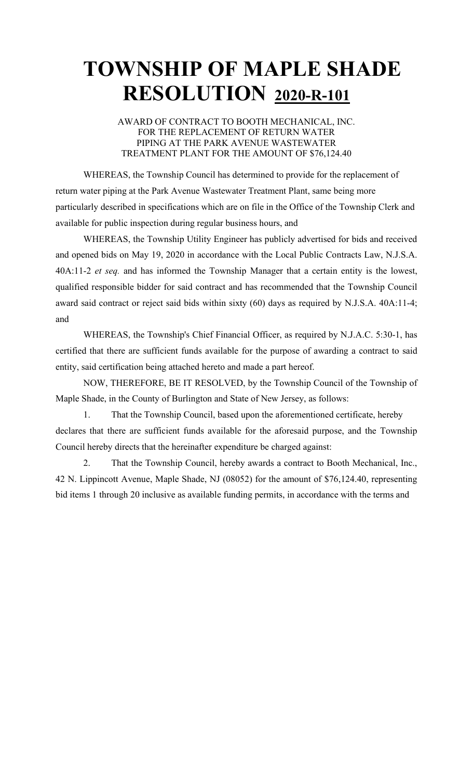AWARD OF CONTRACT TO BOOTH MECHANICAL, INC. FOR THE REPLACEMENT OF RETURN WATER PIPING AT THE PARK AVENUE WASTEWATER TREATMENT PLANT FOR THE AMOUNT OF \$76,124.40

WHEREAS, the Township Council has determined to provide for the replacement of return water piping at the Park Avenue Wastewater Treatment Plant, same being more particularly described in specifications which are on file in the Office of the Township Clerk and available for public inspection during regular business hours, and

WHEREAS, the Township Utility Engineer has publicly advertised for bids and received and opened bids on May 19, 2020 in accordance with the Local Public Contracts Law, N.J.S.A. 40A:11-2 *et seq.* and has informed the Township Manager that a certain entity is the lowest, qualified responsible bidder for said contract and has recommended that the Township Council award said contract or reject said bids within sixty (60) days as required by N.J.S.A. 40A:11-4; and

WHEREAS, the Township's Chief Financial Officer, as required by N.J.A.C. 5:30-1, has certified that there are sufficient funds available for the purpose of awarding a contract to said entity, said certification being attached hereto and made a part hereof.

NOW, THEREFORE, BE IT RESOLVED, by the Township Council of the Township of Maple Shade, in the County of Burlington and State of New Jersey, as follows:

1. That the Township Council, based upon the aforementioned certificate, hereby declares that there are sufficient funds available for the aforesaid purpose, and the Township Council hereby directs that the hereinafter expenditure be charged against:

2. That the Township Council, hereby awards a contract to Booth Mechanical, Inc., 42 N. Lippincott Avenue, Maple Shade, NJ (08052) for the amount of \$76,124.40, representing bid items 1 through 20 inclusive as available funding permits, in accordance with the terms and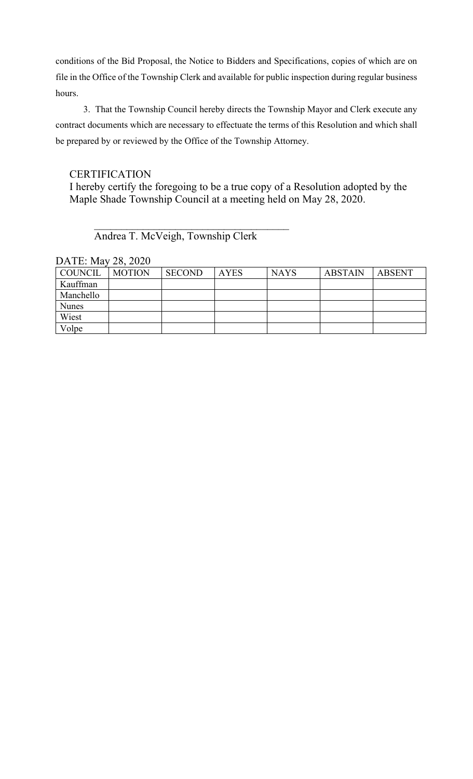conditions of the Bid Proposal, the Notice to Bidders and Specifications, copies of which are on file in the Office of the Township Clerk and available for public inspection during regular business hours.

3. That the Township Council hereby directs the Township Mayor and Clerk execute any contract documents which are necessary to effectuate the terms of this Resolution and which shall be prepared by or reviewed by the Office of the Township Attorney.

## **CERTIFICATION**

I hereby certify the foregoing to be a true copy of a Resolution adopted by the Maple Shade Township Council at a meeting held on May 28, 2020.

## $\overline{\phantom{a}}$ Andrea T. McVeigh, Township Clerk

DATE: May 28, 2020

| COUNCIL      | <b>MOTION</b> | <b>SECOND</b> | <b>AYES</b> | <b>NAYS</b> | <b>ABSTAIN</b> | ABSENT |
|--------------|---------------|---------------|-------------|-------------|----------------|--------|
| Kauffman     |               |               |             |             |                |        |
| Manchello    |               |               |             |             |                |        |
| <b>Nunes</b> |               |               |             |             |                |        |
| Wiest        |               |               |             |             |                |        |
| Volpe        |               |               |             |             |                |        |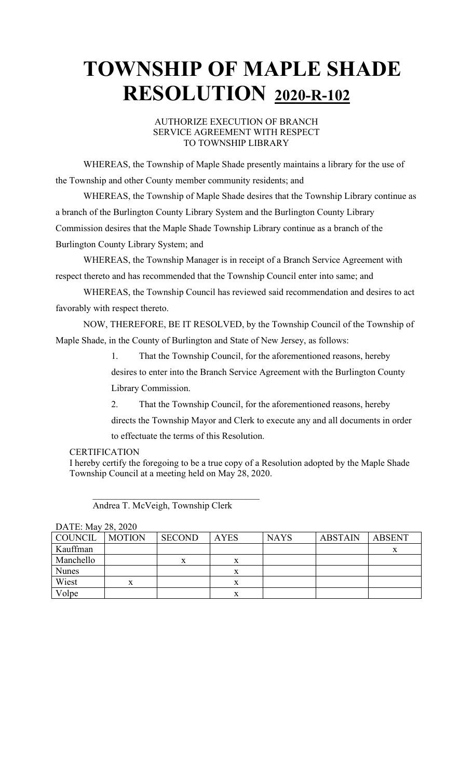#### AUTHORIZE EXECUTION OF BRANCH SERVICE AGREEMENT WITH RESPECT TO TOWNSHIP LIBRARY

WHEREAS, the Township of Maple Shade presently maintains a library for the use of the Township and other County member community residents; and

WHEREAS, the Township of Maple Shade desires that the Township Library continue as a branch of the Burlington County Library System and the Burlington County Library Commission desires that the Maple Shade Township Library continue as a branch of the Burlington County Library System; and

WHEREAS, the Township Manager is in receipt of a Branch Service Agreement with respect thereto and has recommended that the Township Council enter into same; and

WHEREAS, the Township Council has reviewed said recommendation and desires to act favorably with respect thereto.

NOW, THEREFORE, BE IT RESOLVED, by the Township Council of the Township of Maple Shade, in the County of Burlington and State of New Jersey, as follows:

1. That the Township Council, for the aforementioned reasons, hereby

desires to enter into the Branch Service Agreement with the Burlington County Library Commission.

2. That the Township Council, for the aforementioned reasons, hereby

directs the Township Mayor and Clerk to execute any and all documents in order

to effectuate the terms of this Resolution.

#### **CERTIFICATION**

I hereby certify the foregoing to be a true copy of a Resolution adopted by the Maple Shade Township Council at a meeting held on May 28, 2020.

 $\overline{\mathcal{L}}$ Andrea T. McVeigh, Township Clerk

| $P_{11111}$ . $P_{123}$ |               |               |             |             |                |               |  |  |
|-------------------------|---------------|---------------|-------------|-------------|----------------|---------------|--|--|
| COUNCIL                 | <b>MOTION</b> | <b>SECOND</b> | <b>AYES</b> | <b>NAYS</b> | <b>ABSTAIN</b> | <b>ABSENT</b> |  |  |
| Kauffman                |               |               |             |             |                |               |  |  |
| Manchello               |               | л             | △           |             |                |               |  |  |
| <b>Nunes</b>            |               |               |             |             |                |               |  |  |
| Wiest                   | x             |               |             |             |                |               |  |  |
| Volpe                   |               |               |             |             |                |               |  |  |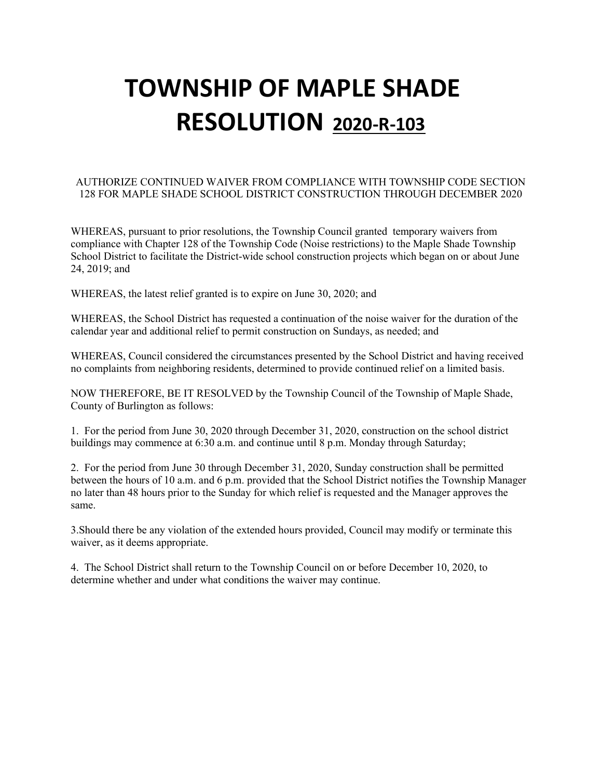#### AUTHORIZE CONTINUED WAIVER FROM COMPLIANCE WITH TOWNSHIP CODE SECTION 128 FOR MAPLE SHADE SCHOOL DISTRICT CONSTRUCTION THROUGH DECEMBER 2020

WHEREAS, pursuant to prior resolutions, the Township Council granted temporary waivers from compliance with Chapter 128 of the Township Code (Noise restrictions) to the Maple Shade Township School District to facilitate the District-wide school construction projects which began on or about June 24, 2019; and

WHEREAS, the latest relief granted is to expire on June 30, 2020; and

WHEREAS, the School District has requested a continuation of the noise waiver for the duration of the calendar year and additional relief to permit construction on Sundays, as needed; and

WHEREAS, Council considered the circumstances presented by the School District and having received no complaints from neighboring residents, determined to provide continued relief on a limited basis.

NOW THEREFORE, BE IT RESOLVED by the Township Council of the Township of Maple Shade, County of Burlington as follows:

1. For the period from June 30, 2020 through December 31, 2020, construction on the school district buildings may commence at 6:30 a.m. and continue until 8 p.m. Monday through Saturday;

2. For the period from June 30 through December 31, 2020, Sunday construction shall be permitted between the hours of 10 a.m. and 6 p.m. provided that the School District notifies the Township Manager no later than 48 hours prior to the Sunday for which relief is requested and the Manager approves the same.

3.Should there be any violation of the extended hours provided, Council may modify or terminate this waiver, as it deems appropriate.

4. The School District shall return to the Township Council on or before December 10, 2020, to determine whether and under what conditions the waiver may continue.